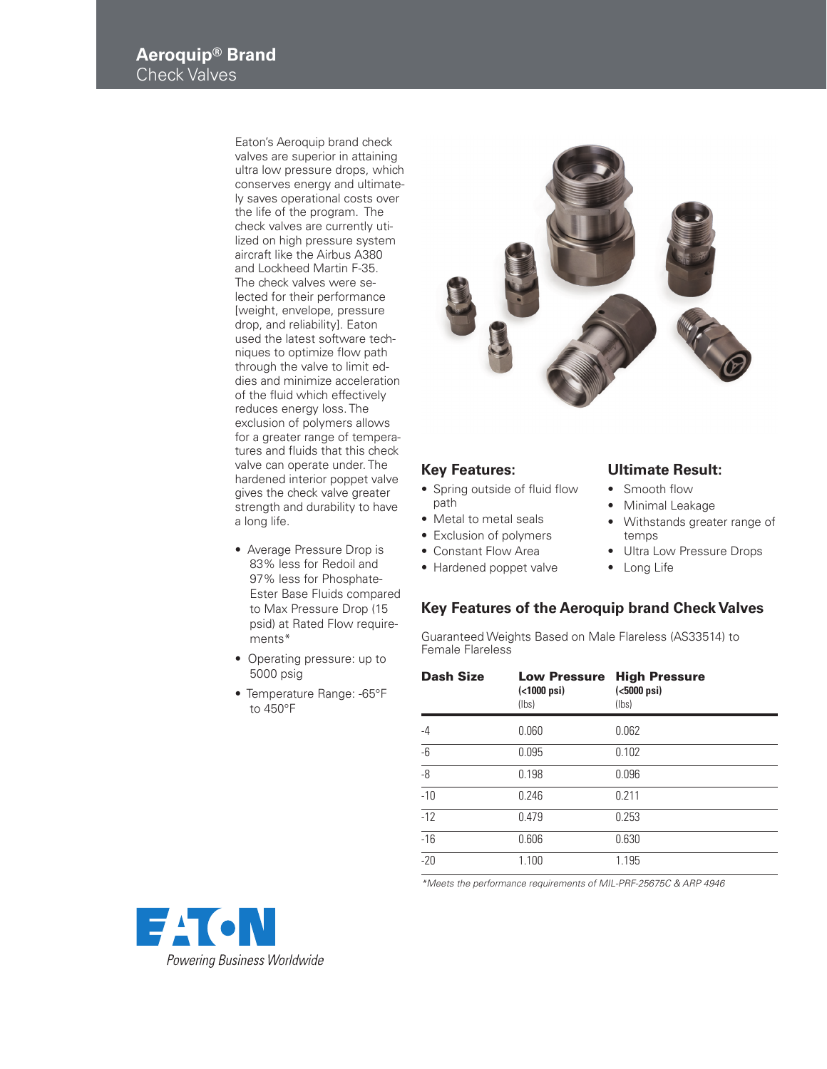Eaton's Aeroquip brand check valves are superior in attaining ultra low pressure drops, which conserves energy and ultimately saves operational costs over the life of the program. The check valves are currently utilized on high pressure system aircraft like the Airbus A380 and Lockheed Martin F-35. The check valves were selected for their performance [weight, envelope, pressure drop, and reliability]. Eaton used the latest software techniques to optimize flow path through the valve to limit eddies and minimize acceleration of the fluid which effectively reduces energy loss. The exclusion of polymers allows for a greater range of temperatures and fluids that this check valve can operate under. The hardened interior poppet valve gives the check valve greater strength and durability to have a long life.

- Average Pressure Drop is 83% less for Redoil and 97% less for Phosphate-Ester Base Fluids compared to Max Pressure Drop (15 psid) at Rated Flow requirements\*
- Operating pressure: up to 5000 psig
- Temperature Range: -65°F to  $450^{\circ}$ F



## **Key Features:**

- Spring outside of fluid flow path
- Metal to metal seals
- Exclusion of polymers
- Constant Flow Area
- Hardened poppet valve

## **Ultimate Result:**

- Smooth flow
	- Minimal Leakage
- Withstands greater range of temps
- Ultra Low Pressure Drops
- Long Life

## **Key Features of the Aeroquip brand Check Valves**

Guaranteed Weights Based on Male Flareless (AS33514) to Female Flareless

| <b>Dash Size</b> | <b>Low Pressure</b><br>$( < 1000 \text{ psi})$<br>(lbs) | <b>High Pressure</b><br>$(5000$ psi)<br>(lbs) |
|------------------|---------------------------------------------------------|-----------------------------------------------|
| $-4$             | 0.060                                                   | 0.062                                         |
| $-6$             | 0.095                                                   | 0.102                                         |
| -8               | 0.198                                                   | 0.096                                         |
| $-10$            | 0.246                                                   | 0.211                                         |
| $-12$            | 0.479                                                   | 0.253                                         |
| $-16$            | 0.606                                                   | 0.630                                         |
| $-20$            | 1.100                                                   | 1.195                                         |

\*Meets the performance requirements of MIL-PRF-25675C & ARP 4946